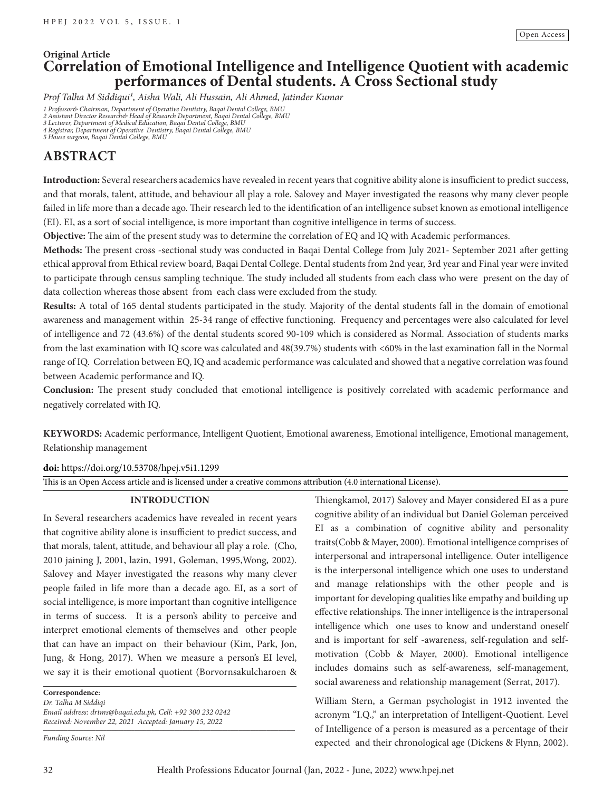# **Original Article Correlation of Emotional Intelligence and Intelligence Quotient with academic performances of Dental students. A Cross Sectional study**

*Prof Talha M Siddiqui1, Aisha Wali, Ali Hussain, Ali Ahmed, Jatinder Kumar*

1 Professor& Chairman, Department of Operative Dentistry, Baqai Dental College, BMU<br>2 Assistant Director Research& Head of Research Department, Baqai Dental College, BMU<br>3 Lecturer, Department of Medical Education, Baqai D

# **ABSTRACT**

**Introduction:** Several researchers academics have revealed in recent years that cognitive ability alone is insufficient to predict success, and that morals, talent, attitude, and behaviour all play a role. Salovey and Mayer investigated the reasons why many clever people failed in life more than a decade ago. Their research led to the identification of an intelligence subset known as emotional intelligence (EI). EI, as a sort of social intelligence, is more important than cognitive intelligence in terms of success.

**Objective:** The aim of the present study was to determine the correlation of EQ and IQ with Academic performances.

**Methods:** The present cross -sectional study was conducted in Baqai Dental College from July 2021- September 2021 after getting ethical approval from Ethical review board, Baqai Dental College. Dental students from 2nd year, 3rd year and Final year were invited to participate through census sampling technique. The study included all students from each class who were present on the day of data collection whereas those absent from each class were excluded from the study.

**Results:** A total of 165 dental students participated in the study. Majority of the dental students fall in the domain of emotional awareness and management within 25-34 range of effective functioning. Frequency and percentages were also calculated for level of intelligence and 72 (43.6%) of the dental students scored 90-109 which is considered as Normal. Association of students marks from the last examination with IQ score was calculated and 48(39.7%) students with <60% in the last examination fall in the Normal range of IQ. Correlation between EQ, IQ and academic performance was calculated and showed that a negative correlation was found between Academic performance and IQ.

**Conclusion:** The present study concluded that emotional intelligence is positively correlated with academic performance and negatively correlated with IQ.

**KEYWORDS:** Academic performance, Intelligent Quotient, Emotional awareness, Emotional intelligence, Emotional management, Relationship management

# **doi:** https://doi.org/10.53708/hpej.v5i1.1299

This is an Open Access article and is licensed under a creative commons attribution (4.0 international License).

# **INTRODUCTION**

In Several researchers academics have revealed in recent years that cognitive ability alone is insufficient to predict success, and that morals, talent, attitude, and behaviour all play a role. (Cho, 2010 jaining J, 2001, lazin, 1991, Goleman, 1995,Wong, 2002). Salovey and Mayer investigated the reasons why many clever people failed in life more than a decade ago. EI, as a sort of social intelligence, is more important than cognitive intelligence in terms of success. It is a person's ability to perceive and interpret emotional elements of themselves and other people that can have an impact on their behaviour (Kim, Park, Jon, Jung, & Hong, 2017). When we measure a person's EI level, we say it is their emotional quotient (Borvornsakulcharoen &

**Correspondence:**

*Dr. Talha M Siddiqi Email address: drtms@baqai.edu.pk, Cell: +92 300 232 0242 Received: November 22, 2021 Accepted: January 15, 2022 \_\_\_\_\_\_\_\_\_\_\_\_\_\_\_\_\_\_\_\_\_\_\_\_\_\_\_\_\_\_\_\_\_\_\_\_\_\_\_\_\_\_\_\_\_\_\_\_\_\_\_\_\_\_\_\_\_\_\_\_\_\_\_*

*Funding Source: Nil*

Thiengkamol, 2017) Salovey and Mayer considered EI as a pure cognitive ability of an individual but Daniel Goleman perceived EI as a combination of cognitive ability and personality traits(Cobb & Mayer, 2000). Emotional intelligence comprises of interpersonal and intrapersonal intelligence. Outer intelligence is the interpersonal intelligence which one uses to understand and manage relationships with the other people and is important for developing qualities like empathy and building up effective relationships. The inner intelligence is the intrapersonal intelligence which one uses to know and understand oneself and is important for self -awareness, self-regulation and selfmotivation (Cobb & Mayer, 2000). Emotional intelligence includes domains such as self-awareness, self-management, social awareness and relationship management (Serrat, 2017).

William Stern, a German psychologist in 1912 invented the acronym "I.Q." an interpretation of Intelligent-Quotient. Level of Intelligence of a person is measured as a percentage of their expected and their chronological age (Dickens & Flynn, 2002).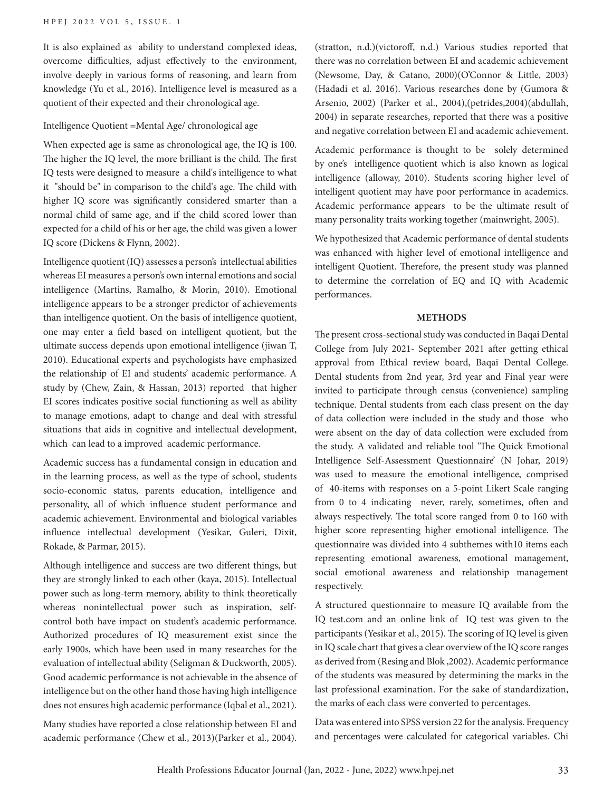It is also explained as ability to understand complexed ideas, overcome difficulties, adjust effectively to the environment, involve deeply in various forms of reasoning, and learn from knowledge (Yu et al., 2016). Intelligence level is measured as a quotient of their expected and their chronological age.

#### Intelligence Quotient =Mental Age/ chronological age

When expected age is same as chronological age, the IQ is 100. The higher the IQ level, the more brilliant is the child. The first IQ tests were designed to measure a child's intelligence to what it "should be" in comparison to the child's age. The child with higher IQ score was significantly considered smarter than a normal child of same age, and if the child scored lower than expected for a child of his or her age, the child was given a lower IQ score (Dickens & Flynn, 2002).

Intelligence quotient (IQ) assesses a person's intellectual abilities whereas EI measures a person's own internal emotions and social intelligence (Martins, Ramalho, & Morin, 2010). Emotional intelligence appears to be a stronger predictor of achievements than intelligence quotient. On the basis of intelligence quotient, one may enter a field based on intelligent quotient, but the ultimate success depends upon emotional intelligence (jiwan T, 2010). Educational experts and psychologists have emphasized the relationship of EI and students' academic performance. A study by (Chew, Zain, & Hassan, 2013) reported that higher EI scores indicates positive social functioning as well as ability to manage emotions, adapt to change and deal with stressful situations that aids in cognitive and intellectual development, which can lead to a improved academic performance.

Academic success has a fundamental consign in education and in the learning process, as well as the type of school, students socio-economic status, parents education, intelligence and personality, all of which influence student performance and academic achievement. Environmental and biological variables influence intellectual development (Yesikar, Guleri, Dixit, Rokade, & Parmar, 2015).

Although intelligence and success are two different things, but they are strongly linked to each other (kaya, 2015). Intellectual power such as long-term memory, ability to think theoretically whereas nonintellectual power such as inspiration, selfcontrol both have impact on student's academic performance. Authorized procedures of IQ measurement exist since the early 1900s, which have been used in many researches for the evaluation of intellectual ability (Seligman & Duckworth, 2005). Good academic performance is not achievable in the absence of intelligence but on the other hand those having high intelligence does not ensures high academic performance (Iqbal et al., 2021).

Many studies have reported a close relationship between EI and academic performance (Chew et al., 2013)(Parker et al., 2004).

(stratton, n.d.)(victoroff, n.d.) Various studies reported that there was no correlation between EI and academic achievement (Newsome, Day, & Catano, 2000)(O'Connor & Little, 2003) (Hadadi et al. 2016). Various researches done by (Gumora & Arsenio, 2002) (Parker et al., 2004),(petrides,2004)(abdullah, 2004) in separate researches, reported that there was a positive and negative correlation between EI and academic achievement.

Academic performance is thought to be solely determined by one's intelligence quotient which is also known as logical intelligence (alloway, 2010). Students scoring higher level of intelligent quotient may have poor performance in academics. Academic performance appears to be the ultimate result of many personality traits working together (mainwright, 2005).

We hypothesized that Academic performance of dental students was enhanced with higher level of emotional intelligence and intelligent Quotient. Therefore, the present study was planned to determine the correlation of EQ and IQ with Academic performances.

#### **METHODS**

The present cross-sectional study was conducted in Baqai Dental College from July 2021- September 2021 after getting ethical approval from Ethical review board, Baqai Dental College. Dental students from 2nd year, 3rd year and Final year were invited to participate through census (convenience) sampling technique. Dental students from each class present on the day of data collection were included in the study and those who were absent on the day of data collection were excluded from the study. A validated and reliable tool 'The Quick Emotional Intelligence Self-Assessment Questionnaire' (N Johar, 2019) was used to measure the emotional intelligence, comprised of 40-items with responses on a 5-point Likert Scale ranging from 0 to 4 indicating never, rarely, sometimes, often and always respectively. The total score ranged from 0 to 160 with higher score representing higher emotional intelligence. The questionnaire was divided into 4 subthemes with10 items each representing emotional awareness, emotional management, social emotional awareness and relationship management respectively.

A structured questionnaire to measure IQ available from the IQ test.com and an online link of IQ test was given to the participants (Yesikar et al., 2015). The scoring of IQ level is given in IQ scale chart that gives a clear overview of the IQ score ranges as derived from (Resing and Blok ,2002). Academic performance of the students was measured by determining the marks in the last professional examination. For the sake of standardization, the marks of each class were converted to percentages.

Data was entered into SPSS version 22 for the analysis. Frequency and percentages were calculated for categorical variables. Chi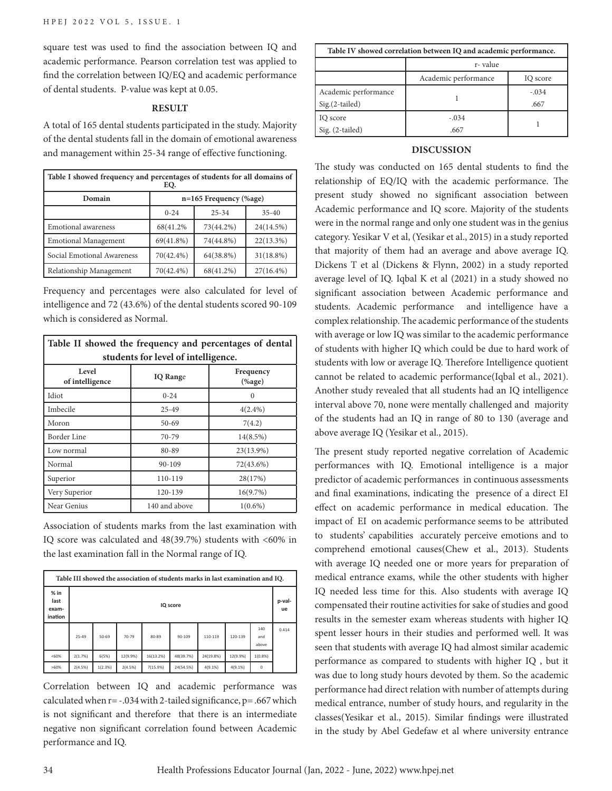square test was used to find the association between IQ and academic performance. Pearson correlation test was applied to find the correlation between IQ/EQ and academic performance of dental students. P-value was kept at 0.05.

#### **RESULT**

A total of 165 dental students participated in the study. Majority of the dental students fall in the domain of emotional awareness and management within 25-34 range of effective functioning.

| Table I showed frequency and percentages of students for all domains of<br>EQ. |                          |           |              |  |
|--------------------------------------------------------------------------------|--------------------------|-----------|--------------|--|
| Domain                                                                         | $n=165$ Frequency (%age) |           |              |  |
|                                                                                | $0 - 24$                 | $25 - 34$ | $35 - 40$    |  |
| <b>Emotional</b> awareness                                                     | 68(41.2%)                | 73(44.2%) | 24(14.5%)    |  |
| <b>Emotional Management</b>                                                    | $69(41.8\%)$             | 74(44.8%) | $22(13.3\%)$ |  |
| Social Emotional Awareness                                                     | 70(42.4%)                | 64(38.8%) | 31(18.8%)    |  |
| Relationship Management                                                        | 70(42.4%)                | 68(41.2%) | $27(16.4\%)$ |  |

Frequency and percentages were also calculated for level of intelligence and 72 (43.6%) of the dental students scored 90-109 which is considered as Normal.

| Table II showed the frequency and percentages of dental |                 |                          |  |  |
|---------------------------------------------------------|-----------------|--------------------------|--|--|
| students for level of intelligence.                     |                 |                          |  |  |
| Level<br>of intelligence                                | <b>IQ</b> Range | Frequency<br>$(%$ (%age) |  |  |
| Idiot                                                   | $0 - 24$        | $\Omega$                 |  |  |
| Imbecile                                                | $25 - 49$       | $4(2.4\%)$               |  |  |
| Moron                                                   | $50 - 69$       | 7(4.2)                   |  |  |
| Border Line                                             | 70-79           | $14(8.5\%)$              |  |  |
| Low normal                                              | 80-89           | 23(13.9%)                |  |  |
| Normal                                                  | 90-109          | 72(43.6%)                |  |  |
| Superior                                                | 110-119         | 28(17%)                  |  |  |
| Very Superior                                           | 120-139         | 16(9.7%)                 |  |  |
| Near Genius                                             | 140 and above   | $1(0.6\%)$               |  |  |

Association of students marks from the last examination with IQ score was calculated and 48(39.7%) students with <60% in the last examination fall in the Normal range of IQ.

| Table III showed the association of students marks in last examination and IQ. |           |         |          |           |           |           |              |                     |       |
|--------------------------------------------------------------------------------|-----------|---------|----------|-----------|-----------|-----------|--------------|---------------------|-------|
| $%$ in<br>last<br>exam-<br>ination                                             | IQ score  |         |          |           |           |           | p-val-<br>ue |                     |       |
|                                                                                | $25 - 49$ | 50-69   | 70-79    | 80-89     | 90-109    | 110-119   | 120-139      | 140<br>and<br>above | 0.414 |
| <60%                                                                           | 2(1.7%)   | 6(5%)   | 12(9.9%) | 16(13.2%) | 48(39.7%) | 24(19.8%) | 12(9.9%)     | 1(0.8%              |       |
| >60%                                                                           | 2(4.5%)   | 1(2.3%) | 2(4.5%)  | 7(15.9%)  | 24(54.5%) | 4(9.1%    | 4(9.1%)      | $\Omega$            |       |

Correlation between IQ and academic performance was calculated when  $r = -0.034$  with 2-tailed significance,  $p = 0.667$  which is not significant and therefore that there is an intermediate negative non significant correlation found between Academic performance and IQ.

| Table IV showed correlation between IQ and academic performance. |                      |          |  |  |
|------------------------------------------------------------------|----------------------|----------|--|--|
|                                                                  | r-value              |          |  |  |
|                                                                  | Academic performance | IQ score |  |  |
| Academic performance                                             |                      | $-.034$  |  |  |
| $Sig.(2-tailed)$                                                 |                      | .667     |  |  |
| IQ score                                                         | $-.034$              |          |  |  |
| $Sig. (2-tailed)$                                                | .667                 |          |  |  |

# **DISCUSSION**

The study was conducted on 165 dental students to find the relationship of EQ/IQ with the academic performance. The present study showed no significant association between Academic performance and IQ score. Majority of the students were in the normal range and only one student was in the genius category. Yesikar V et al, (Yesikar et al., 2015) in a study reported that majority of them had an average and above average IQ. Dickens T et al (Dickens & Flynn, 2002) in a study reported average level of IQ. Iqbal K et al (2021) in a study showed no significant association between Academic performance and students. Academic performance and intelligence have a complex relationship. The academic performance of the students with average or low IQ was similar to the academic performance of students with higher IQ which could be due to hard work of students with low or average IQ. Therefore Intelligence quotient cannot be related to academic performance(Iqbal et al., 2021). Another study revealed that all students had an IQ intelligence interval above 70, none were mentally challenged and majority of the students had an IQ in range of 80 to 130 (average and above average IQ (Yesikar et al., 2015).

The present study reported negative correlation of Academic performances with IQ. Emotional intelligence is a major predictor of academic performances in continuous assessments and final examinations, indicating the presence of a direct EI effect on academic performance in medical education. The impact of EI on academic performance seems to be attributed to students' capabilities accurately perceive emotions and to comprehend emotional causes(Chew et al., 2013). Students with average IQ needed one or more years for preparation of medical entrance exams, while the other students with higher IQ needed less time for this. Also students with average IQ compensated their routine activities for sake of studies and good results in the semester exam whereas students with higher IQ spent lesser hours in their studies and performed well. It was seen that students with average IQ had almost similar academic performance as compared to students with higher IQ , but it was due to long study hours devoted by them. So the academic performance had direct relation with number of attempts during medical entrance, number of study hours, and regularity in the classes(Yesikar et al., 2015). Similar findings were illustrated in the study by Abel Gedefaw et al where university entrance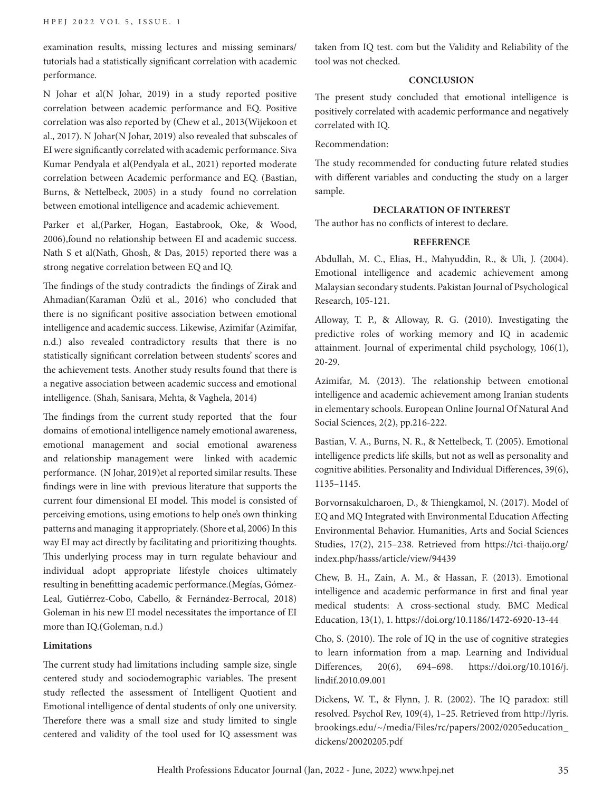examination results, missing lectures and missing seminars/ tutorials had a statistically significant correlation with academic performance.

N Johar et al(N Johar, 2019) in a study reported positive correlation between academic performance and EQ. Positive correlation was also reported by (Chew et al., 2013(Wijekoon et al., 2017). N Johar(N Johar, 2019) also revealed that subscales of EI were significantly correlated with academic performance. Siva Kumar Pendyala et al(Pendyala et al., 2021) reported moderate correlation between Academic performance and EQ. (Bastian, Burns, & Nettelbeck, 2005) in a study found no correlation between emotional intelligence and academic achievement.

Parker et al,(Parker, Hogan, Eastabrook, Oke, & Wood, 2006),found no relationship between EI and academic success. Nath S et al(Nath, Ghosh, & Das, 2015) reported there was a strong negative correlation between EQ and IQ.

The findings of the study contradicts the findings of Zirak and Ahmadian(Karaman Özlü et al., 2016) who concluded that there is no significant positive association between emotional intelligence and academic success. Likewise, Azimifar (Azimifar, n.d.) also revealed contradictory results that there is no statistically significant correlation between students' scores and the achievement tests. Another study results found that there is a negative association between academic success and emotional intelligence. (Shah, Sanisara, Mehta, & Vaghela, 2014)

The findings from the current study reported that the four domains of emotional intelligence namely emotional awareness, emotional management and social emotional awareness and relationship management were linked with academic performance. (N Johar, 2019)et al reported similar results. These findings were in line with previous literature that supports the current four dimensional EI model. This model is consisted of perceiving emotions, using emotions to help one's own thinking patterns and managing it appropriately. (Shore et al, 2006) In this way EI may act directly by facilitating and prioritizing thoughts. This underlying process may in turn regulate behaviour and individual adopt appropriate lifestyle choices ultimately resulting in benefitting academic performance.(Megías, Gómez-Leal, Gutiérrez-Cobo, Cabello, & Fernández-Berrocal, 2018) Goleman in his new EI model necessitates the importance of EI more than IQ.(Goleman, n.d.)

### **Limitations**

The current study had limitations including sample size, single centered study and sociodemographic variables. The present study reflected the assessment of Intelligent Quotient and Emotional intelligence of dental students of only one university. Therefore there was a small size and study limited to single centered and validity of the tool used for IQ assessment was taken from IQ test. com but the Validity and Reliability of the tool was not checked.

### **CONCLUSION**

The present study concluded that emotional intelligence is positively correlated with academic performance and negatively correlated with IQ.

Recommendation:

The study recommended for conducting future related studies with different variables and conducting the study on a larger sample.

# **DECLARATION OF INTEREST**

The author has no conflicts of interest to declare.

## **REFERENCE**

Abdullah, M. C., Elias, H., Mahyuddin, R., & Uli, J. (2004). Emotional intelligence and academic achievement among Malaysian secondary students. Pakistan Journal of Psychological Research, 105-121.

Alloway, T. P., & Alloway, R. G. (2010). Investigating the predictive roles of working memory and IQ in academic attainment. Journal of experimental child psychology, 106(1), 20-29.

Azimifar, M. (2013). The relationship between emotional intelligence and academic achievement among Iranian students in elementary schools. European Online Journal Of Natural And Social Sciences, 2(2), pp.216-222.

Bastian, V. A., Burns, N. R., & Nettelbeck, T. (2005). Emotional intelligence predicts life skills, but not as well as personality and cognitive abilities. Personality and Individual Differences, 39(6), 1135–1145.

Borvornsakulcharoen, D., & Thiengkamol, N. (2017). Model of EQ and MQ Integrated with Environmental Education Affecting Environmental Behavior. Humanities, Arts and Social Sciences Studies, 17(2), 215–238. Retrieved from https://tci-thaijo.org/ index.php/hasss/article/view/94439

Chew, B. H., Zain, A. M., & Hassan, F. (2013). Emotional intelligence and academic performance in first and final year medical students: A cross-sectional study. BMC Medical Education, 13(1), 1. https://doi.org/10.1186/1472-6920-13-44

Cho, S. (2010). The role of IQ in the use of cognitive strategies to learn information from a map. Learning and Individual Differences, 20(6), 694–698. https://doi.org/10.1016/j. lindif.2010.09.001

Dickens, W. T., & Flynn, J. R. (2002). The IQ paradox: still resolved. Psychol Rev, 109(4), 1–25. Retrieved from http://lyris. brookings.edu/~/media/Files/rc/papers/2002/0205education\_ dickens/20020205.pdf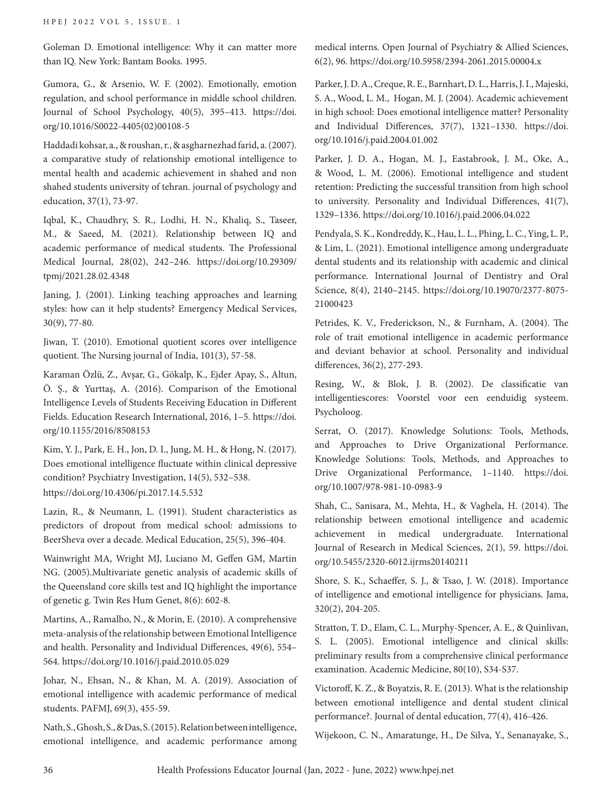Goleman D. Emotional intelligence: Why it can matter more than IQ. New York: Bantam Books. 1995.

Gumora, G., & Arsenio, W. F. (2002). Emotionally, emotion regulation, and school performance in middle school children. Journal of School Psychology, 40(5), 395–413. https://doi. org/10.1016/S0022-4405(02)00108-5

Haddadi kohsar, a., & roushan, r., & asgharnezhad farid, a. (2007). a comparative study of relationship emotional intelligence to mental health and academic achievement in shahed and non shahed students university of tehran. journal of psychology and education, 37(1), 73-97.

Iqbal, K., Chaudhry, S. R., Lodhi, H. N., Khaliq, S., Taseer, M., & Saeed, M. (2021). Relationship between IQ and academic performance of medical students. The Professional Medical Journal, 28(02), 242–246. https://doi.org/10.29309/ tpmj/2021.28.02.4348

Janing, J. (2001). Linking teaching approaches and learning styles: how can it help students? Emergency Medical Services, 30(9), 77-80.

Jiwan, T. (2010). Emotional quotient scores over intelligence quotient. The Nursing journal of India, 101(3), 57-58.

Karaman Özlü, Z., Avşar, G., Gökalp, K., Ejder Apay, S., Altun, Ö. Ş., & Yurttaş, A. (2016). Comparison of the Emotional Intelligence Levels of Students Receiving Education in Different Fields. Education Research International, 2016, 1–5. https://doi. org/10.1155/2016/8508153

Kim, Y. J., Park, E. H., Jon, D. I., Jung, M. H., & Hong, N. (2017). Does emotional intelligence fluctuate within clinical depressive condition? Psychiatry Investigation, 14(5), 532–538. https://doi.org/10.4306/pi.2017.14.5.532

Lazin, R., & Neumann, L. (1991). Student characteristics as predictors of dropout from medical school: admissions to BeerSheva over a decade. Medical Education, 25(5), 396-404.

Wainwright MA, Wright MJ, Luciano M, Geffen GM, Martin NG. (2005).Multivariate genetic analysis of academic skills of the Queensland core skills test and IQ highlight the importance of genetic g. Twin Res Hum Genet, 8(6): 602-8.

Martins, A., Ramalho, N., & Morin, E. (2010). A comprehensive meta-analysis of the relationship between Emotional Intelligence and health. Personality and Individual Differences, 49(6), 554– 564. https://doi.org/10.1016/j.paid.2010.05.029

Johar, N., Ehsan, N., & Khan, M. A. (2019). Association of emotional intelligence with academic performance of medical students. PAFMJ, 69(3), 455-59.

Nath, S., Ghosh, S., & Das, S. (2015). Relation between intelligence, emotional intelligence, and academic performance among medical interns. Open Journal of Psychiatry & Allied Sciences, 6(2), 96. https://doi.org/10.5958/2394-2061.2015.00004.x

Parker, J. D. A., Creque, R. E., Barnhart, D. L., Harris, J. I., Majeski, S. A., Wood, L. M., Hogan, M. J. (2004). Academic achievement in high school: Does emotional intelligence matter? Personality and Individual Differences, 37(7), 1321–1330. https://doi. org/10.1016/j.paid.2004.01.002

Parker, J. D. A., Hogan, M. J., Eastabrook, J. M., Oke, A., & Wood, L. M. (2006). Emotional intelligence and student retention: Predicting the successful transition from high school to university. Personality and Individual Differences, 41(7), 1329–1336. https://doi.org/10.1016/j.paid.2006.04.022

Pendyala, S. K., Kondreddy, K., Hau, L. L., Phing, L. C., Ying, L. P., & Lim, L. (2021). Emotional intelligence among undergraduate dental students and its relationship with academic and clinical performance. International Journal of Dentistry and Oral Science, 8(4), 2140–2145. https://doi.org/10.19070/2377-8075- 21000423

Petrides, K. V., Frederickson, N., & Furnham, A. (2004). The role of trait emotional intelligence in academic performance and deviant behavior at school. Personality and individual differences, 36(2), 277-293.

Resing, W., & Blok, J. B. (2002). De classificatie van intelligentiescores: Voorstel voor een eenduidig systeem. Psycholoog.

Serrat, O. (2017). Knowledge Solutions: Tools, Methods, and Approaches to Drive Organizational Performance. Knowledge Solutions: Tools, Methods, and Approaches to Drive Organizational Performance, 1–1140. https://doi. org/10.1007/978-981-10-0983-9

Shah, C., Sanisara, M., Mehta, H., & Vaghela, H. (2014). The relationship between emotional intelligence and academic achievement in medical undergraduate. International Journal of Research in Medical Sciences, 2(1), 59. https://doi. org/10.5455/2320-6012.ijrms20140211

Shore, S. K., Schaeffer, S. J., & Tsao, J. W. (2018). Importance of intelligence and emotional intelligence for physicians. Jama, 320(2), 204-205.

Stratton, T. D., Elam, C. L., Murphy-Spencer, A. E., & Quinlivan, S. L. (2005). Emotional intelligence and clinical skills: preliminary results from a comprehensive clinical performance examination. Academic Medicine, 80(10), S34-S37.

Victoroff, K. Z., & Boyatzis, R. E. (2013). What is the relationship between emotional intelligence and dental student clinical performance?. Journal of dental education, 77(4), 416-426.

Wijekoon, C. N., Amaratunge, H., De Silva, Y., Senanayake, S.,